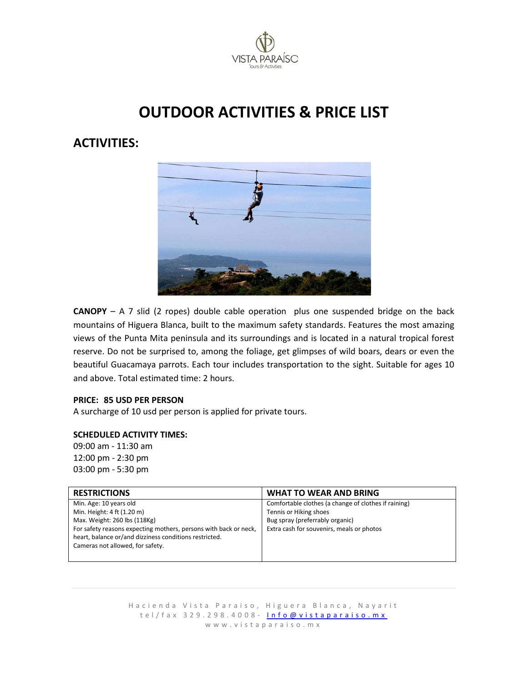

# **OUTDOOR ACTIVITIES & PRICE LIST**

# **ACTIVITIES:**



**CANOPY** – A 7 slid (2 ropes) double cable operation plus one suspended bridge on the back mountains of Higuera Blanca, built to the maximum safety standards. Features the most amazing views of the Punta Mita peninsula and its surroundings and is located in a natural tropical forest reserve. Do not be surprised to, among the foliage, get glimpses of wild boars, dears or even the beautiful Guacamaya parrots. Each tour includes transportation to the sight. Suitable for ages 10 and above. Total estimated time: 2 hours.

#### **PRICE: 85 USD PER PERSON**

A surcharge of 10 usd per person is applied for private tours.

#### **SCHEDULED ACTIVITY TIMES:**

09:00 am - 11:30 am 12:00 pm - 2:30 pm 03:00 pm - 5:30 pm

| <b>RESTRICTIONS</b>                                              | <b>WHAT TO WEAR AND BRING</b>                        |
|------------------------------------------------------------------|------------------------------------------------------|
| Min. Age: 10 years old                                           | Comfortable clothes (a change of clothes if raining) |
| Min. Height: 4 ft (1.20 m)                                       | Tennis or Hiking shoes                               |
| Max. Weight: 260 lbs (118Kg)                                     | Bug spray (preferrably organic)                      |
| For safety reasons expecting mothers, persons with back or neck, | Extra cash for souvenirs, meals or photos            |
| heart, balance or/and dizziness conditions restricted.           |                                                      |
| Cameras not allowed, for safety.                                 |                                                      |
|                                                                  |                                                      |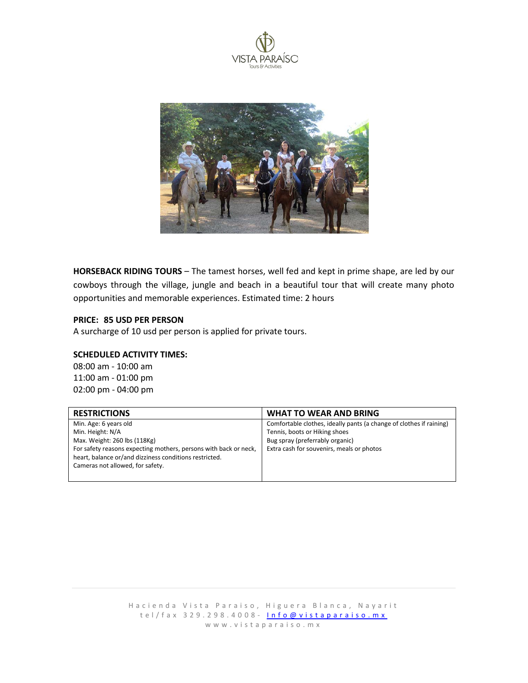



**HORSEBACK RIDING TOURS** – The tamest horses, well fed and kept in prime shape, are led by our cowboys through the village, jungle and beach in a beautiful tour that will create many photo opportunities and memorable experiences. Estimated time: 2 hours

### **PRICE: 85 USD PER PERSON**

A surcharge of 10 usd per person is applied for private tours.

#### **SCHEDULED ACTIVITY TIMES:**

08:00 am - 10:00 am 11:00 am - 01:00 pm 02:00 pm - 04:00 pm

| <b>RESTRICTIONS</b>                                              | <b>WHAT TO WEAR AND BRING</b>                                       |
|------------------------------------------------------------------|---------------------------------------------------------------------|
| Min. Age: 6 years old                                            | Comfortable clothes, ideally pants (a change of clothes if raining) |
| Min. Height: N/A                                                 | Tennis, boots or Hiking shoes                                       |
| Max. Weight: 260 lbs (118Kg)                                     | Bug spray (preferrably organic)                                     |
| For safety reasons expecting mothers, persons with back or neck, | Extra cash for souvenirs, meals or photos                           |
| heart, balance or/and dizziness conditions restricted.           |                                                                     |
| Cameras not allowed, for safety.                                 |                                                                     |
|                                                                  |                                                                     |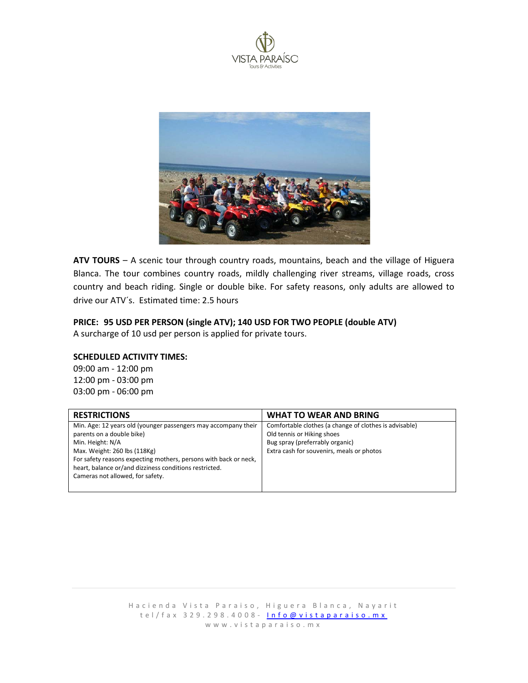



**ATV TOURS** – A scenic tour through country roads, mountains, beach and the village of Higuera Blanca. The tour combines country roads, mildly challenging river streams, village roads, cross country and beach riding. Single or double bike. For safety reasons, only adults are allowed to drive our ATV´s. Estimated time: 2.5 hours

#### **PRICE: 95 USD PER PERSON (single ATV); 140 USD FOR TWO PEOPLE (double ATV)**

A surcharge of 10 usd per person is applied for private tours.

#### **SCHEDULED ACTIVITY TIMES:**

09:00 am - 12:00 pm 12:00 pm - 03:00 pm 03:00 pm - 06:00 pm

| <b>WHAT TO WEAR AND BRING</b>                                                                                                                                        |
|----------------------------------------------------------------------------------------------------------------------------------------------------------------------|
| Comfortable clothes (a change of clothes is advisable)<br>Old tennis or Hiking shoes<br>Bug spray (preferrably organic)<br>Extra cash for souvenirs, meals or photos |
|                                                                                                                                                                      |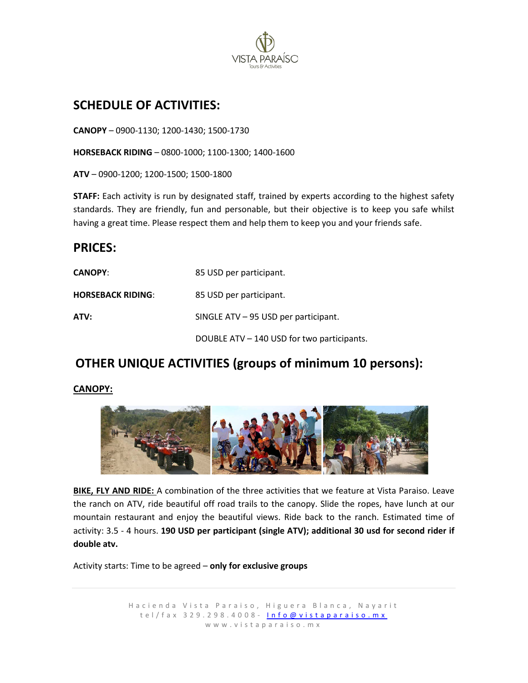

# **SCHEDULE OF ACTIVITIES:**

**CANOPY** – 0900-1130; 1200-1430; 1500-1730

**HORSEBACK RIDING** – 0800-1000; 1100-1300; 1400-1600

**ATV** – 0900-1200; 1200-1500; 1500-1800

**STAFF:** Each activity is run by designated staff, trained by experts according to the highest safety standards. They are friendly, fun and personable, but their objective is to keep you safe whilst having a great time. Please respect them and help them to keep you and your friends safe.

# **PRICES:**

| <b>CANOPY:</b>           | 85 USD per participant.                    |
|--------------------------|--------------------------------------------|
| <b>HORSEBACK RIDING:</b> | 85 USD per participant.                    |
| ATV:                     | SINGLE $ATV - 95$ USD per participant.     |
|                          | DOUBLE ATV - 140 USD for two participants. |

# **OTHER UNIQUE ACTIVITIES (groups of minimum 10 persons):**

## **CANOPY:**



**BIKE, FLY AND RIDE:** A combination of the three activities that we feature at Vista Paraiso. Leave the ranch on ATV, ride beautiful off road trails to the canopy. Slide the ropes, have lunch at our mountain restaurant and enjoy the beautiful views. Ride back to the ranch. Estimated time of activity: 3.5 - 4 hours. **190 USD per participant (single ATV); additional 30 usd for second rider if double atv.**

Activity starts: Time to be agreed – **only for exclusive groups**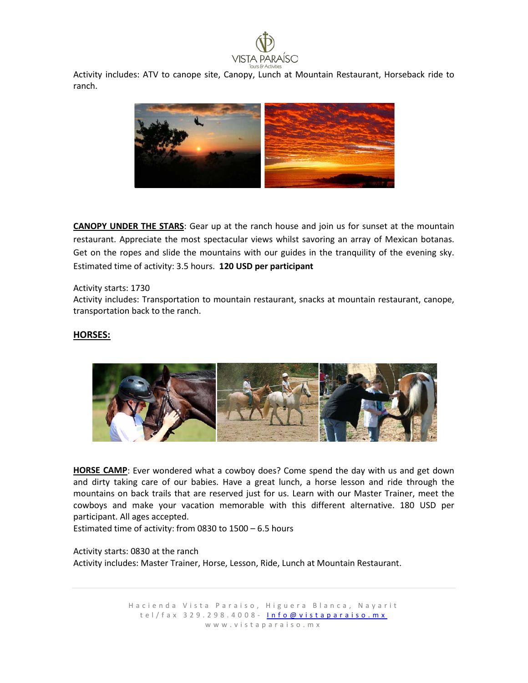

Activity includes: ATV to canope site, Canopy, Lunch at Mountain Restaurant, Horseback ride to ranch.



**CANOPY UNDER THE STARS**: Gear up at the ranch house and join us for sunset at the mountain restaurant. Appreciate the most spectacular views whilst savoring an array of Mexican botanas. Get on the ropes and slide the mountains with our guides in the tranquility of the evening sky. Estimated time of activity: 3.5 hours. **120 USD per participant**

Activity starts: 1730

Activity includes: Transportation to mountain restaurant, snacks at mountain restaurant, canope, transportation back to the ranch.

#### **HORSES:**



**HORSE CAMP**: Ever wondered what a cowboy does? Come spend the day with us and get down and dirty taking care of our babies. Have a great lunch, a horse lesson and ride through the mountains on back trails that are reserved just for us. Learn with our Master Trainer, meet the cowboys and make your vacation memorable with this different alternative. 180 USD per participant. All ages accepted.

Estimated time of activity: from 0830 to 1500 – 6.5 hours

Activity starts: 0830 at the ranch Activity includes: Master Trainer, Horse, Lesson, Ride, Lunch at Mountain Restaurant.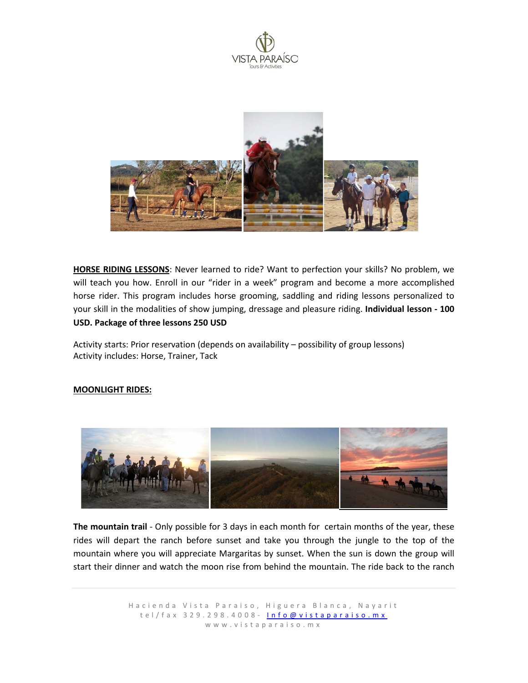



**HORSE RIDING LESSONS**: Never learned to ride? Want to perfection your skills? No problem, we will teach you how. Enroll in our "rider in a week" program and become a more accomplished horse rider. This program includes horse grooming, saddling and riding lessons personalized to your skill in the modalities of show jumping, dressage and pleasure riding. **Individual lesson - 100 USD. Package of three lessons 250 USD**

Activity starts: Prior reservation (depends on availability – possibility of group lessons) Activity includes: Horse, Trainer, Tack

#### **MOONLIGHT RIDES:**



**The mountain trail** - Only possible for 3 days in each month for certain months of the year, these rides will depart the ranch before sunset and take you through the jungle to the top of the mountain where you will appreciate Margaritas by sunset. When the sun is down the group will start their dinner and watch the moon rise from behind the mountain. The ride back to the ranch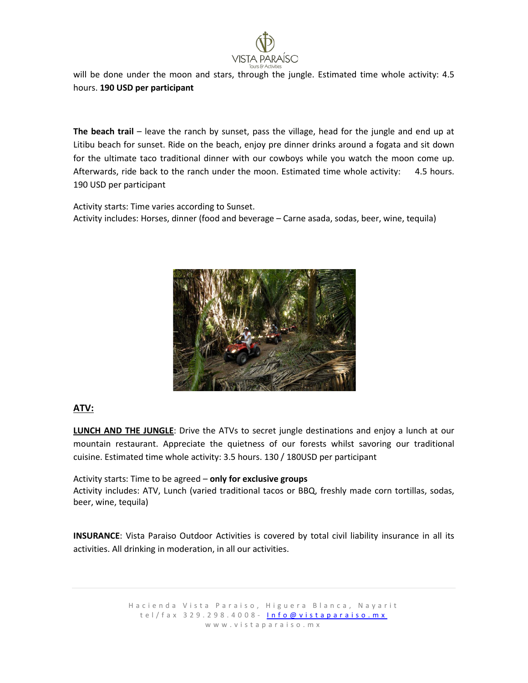

will be done under the moon and stars, through the jungle. Estimated time whole activity: 4.5 hours. **190 USD per participant**

**The beach trail** – leave the ranch by sunset, pass the village, head for the jungle and end up at Litibu beach for sunset. Ride on the beach, enjoy pre dinner drinks around a fogata and sit down for the ultimate taco traditional dinner with our cowboys while you watch the moon come up. Afterwards, ride back to the ranch under the moon. Estimated time whole activity: 4.5 hours. 190 USD per participant

Activity starts: Time varies according to Sunset. Activity includes: Horses, dinner (food and beverage – Carne asada, sodas, beer, wine, tequila)



## **ATV:**

**LUNCH AND THE JUNGLE**: Drive the ATVs to secret jungle destinations and enjoy a lunch at our mountain restaurant. Appreciate the quietness of our forests whilst savoring our traditional cuisine. Estimated time whole activity: 3.5 hours. 130 / 180USD per participant

Activity starts: Time to be agreed – **only for exclusive groups** Activity includes: ATV, Lunch (varied traditional tacos or BBQ, freshly made corn tortillas, sodas, beer, wine, tequila)

**INSURANCE**: Vista Paraiso Outdoor Activities is covered by total civil liability insurance in all its activities. All drinking in moderation, in all our activities.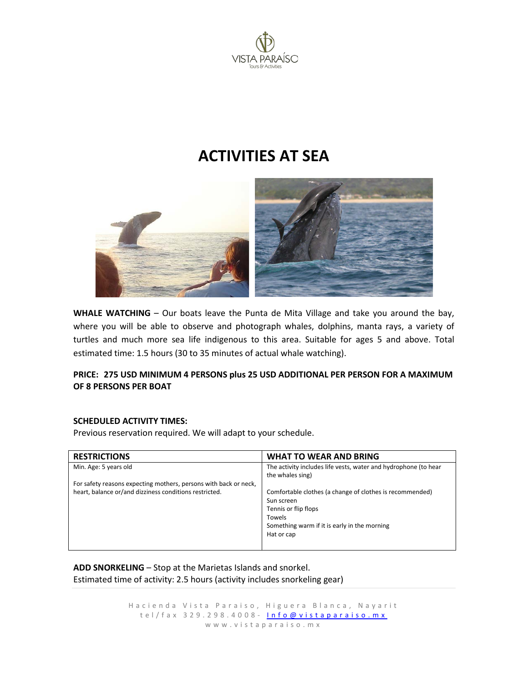

# **ACTIVITIES AT SEA**



**WHALE WATCHING** – Our boats leave the Punta de Mita Village and take you around the bay, where you will be able to observe and photograph whales, dolphins, manta rays, a variety of turtles and much more sea life indigenous to this area. Suitable for ages 5 and above. Total estimated time: 1.5 hours (30 to 35 minutes of actual whale watching).

### **PRICE: 275 USD MINIMUM 4 PERSONS plus 25 USD ADDITIONAL PER PERSON FOR A MAXIMUM OF 8 PERSONS PER BOAT**

#### **SCHEDULED ACTIVITY TIMES:**

Previous reservation required. We will adapt to your schedule.

| <b>RESTRICTIONS</b>                                              | <b>WHAT TO WEAR AND BRING</b>                                   |
|------------------------------------------------------------------|-----------------------------------------------------------------|
| Min. Age: 5 years old                                            | The activity includes life vests, water and hydrophone (to hear |
|                                                                  | the whales sing)                                                |
| For safety reasons expecting mothers, persons with back or neck, |                                                                 |
| heart, balance or/and dizziness conditions restricted.           | Comfortable clothes (a change of clothes is recommended)        |
|                                                                  | Sun screen                                                      |
|                                                                  | Tennis or flip flops                                            |
|                                                                  | Towels                                                          |
|                                                                  | Something warm if it is early in the morning                    |
|                                                                  | Hat or cap                                                      |
|                                                                  |                                                                 |

**ADD SNORKELING** – Stop at the Marietas Islands and snorkel. Estimated time of activity: 2.5 hours (activity includes snorkeling gear)